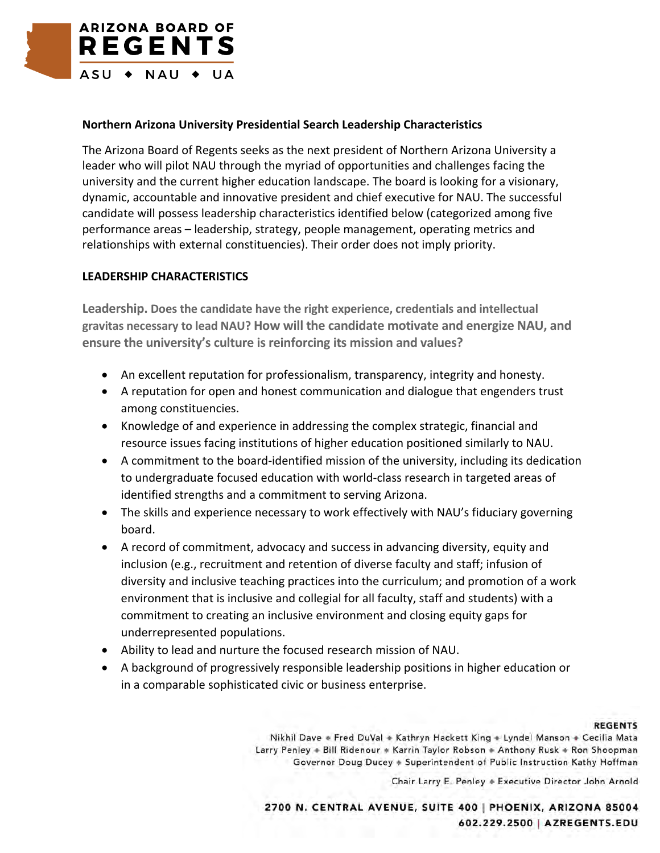

## **Northern Arizona University Presidential Search Leadership Characteristics**

The Arizona Board of Regents seeks as the next president of Northern Arizona University a leader who will pilot NAU through the myriad of opportunities and challenges facing the university and the current higher education landscape. The board is looking for a visionary, dynamic, accountable and innovative president and chief executive for NAU. The successful candidate will possess leadership characteristics identified below (categorized among five performance areas – leadership, strategy, people management, operating metrics and relationships with external constituencies). Their order does not imply priority.

## **LEADERSHIP CHARACTERISTICS**

**Leadership. Does the candidate have the right experience, credentials and intellectual gravitas necessary to lead NAU? How will the candidate motivate and energize NAU, and ensure the university's culture is reinforcing its mission and values?**

- An excellent reputation for professionalism, transparency, integrity and honesty.
- A reputation for open and honest communication and dialogue that engenders trust among constituencies.
- Knowledge of and experience in addressing the complex strategic, financial and resource issues facing institutions of higher education positioned similarly to NAU.
- A commitment to the board-identified mission of the university, including its dedication to undergraduate focused education with world-class research in targeted areas of identified strengths and a commitment to serving Arizona.
- The skills and experience necessary to work effectively with NAU's fiduciary governing board.
- A record of commitment, advocacy and success in advancing diversity, equity and inclusion (e.g., recruitment and retention of diverse faculty and staff; infusion of diversity and inclusive teaching practices into the curriculum; and promotion of a work environment that is inclusive and collegial for all faculty, staff and students) with a commitment to creating an inclusive environment and closing equity gaps for underrepresented populations.
- Ability to lead and nurture the focused research mission of NAU.
- A background of progressively responsible leadership positions in higher education or in a comparable sophisticated civic or business enterprise.

## **REGENTS**

Nikhil Dave . Fred DuVal + Kathryn Hackett King + Lyndel Manson + Cecilia Mata Larry Penley + Bill Ridenour + Karrin Taylor Robson + Anthony Rusk + Ron Shoopman Governor Doug Ducey + Superintendent of Public Instruction Kathy Hoffman

Chair Larry E. Penley + Executive Director John Arnold

2700 N. CENTRAL AVENUE, SUITE 400 | PHOENIX, ARIZONA 85004 602.229.2500 | AZREGENTS.EDU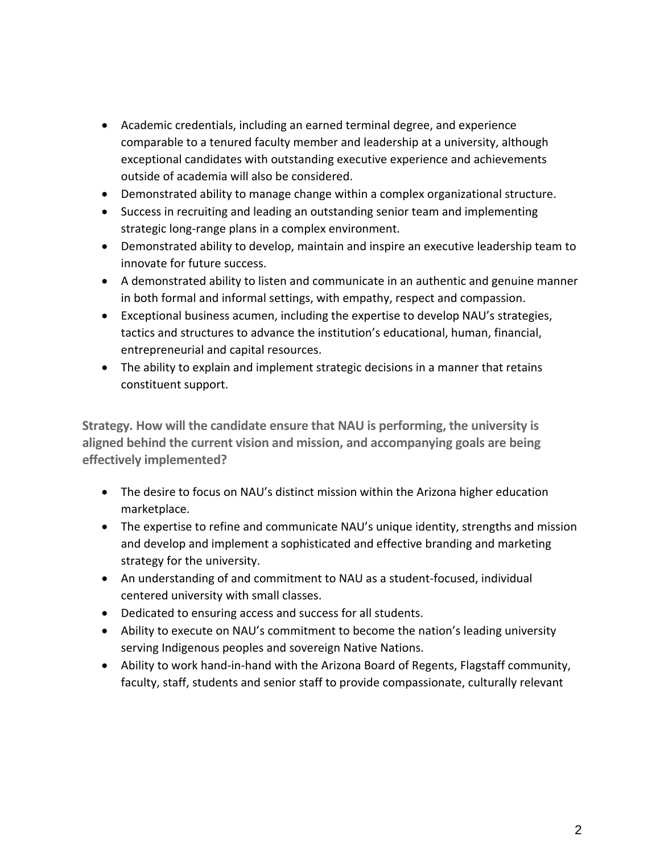- Academic credentials, including an earned terminal degree, and experience comparable to a tenured faculty member and leadership at a university, although exceptional candidates with outstanding executive experience and achievements outside of academia will also be considered.
- Demonstrated ability to manage change within a complex organizational structure.
- Success in recruiting and leading an outstanding senior team and implementing strategic long-range plans in a complex environment.
- Demonstrated ability to develop, maintain and inspire an executive leadership team to innovate for future success.
- A demonstrated ability to listen and communicate in an authentic and genuine manner in both formal and informal settings, with empathy, respect and compassion.
- Exceptional business acumen, including the expertise to develop NAU's strategies, tactics and structures to advance the institution's educational, human, financial, entrepreneurial and capital resources.
- The ability to explain and implement strategic decisions in a manner that retains constituent support.

**Strategy. How will the candidate ensure that NAU is performing, the university is aligned behind the current vision and mission, and accompanying goals are being effectively implemented?**

- The desire to focus on NAU's distinct mission within the Arizona higher education marketplace.
- The expertise to refine and communicate NAU's unique identity, strengths and mission and develop and implement a sophisticated and effective branding and marketing strategy for the university.
- An understanding of and commitment to NAU as a student-focused, individual centered university with small classes.
- Dedicated to ensuring access and success for all students.
- Ability to execute on NAU's commitment to become the nation's leading university serving Indigenous peoples and sovereign Native Nations.
- Ability to work hand-in-hand with the Arizona Board of Regents, Flagstaff community, faculty, staff, students and senior staff to provide compassionate, culturally relevant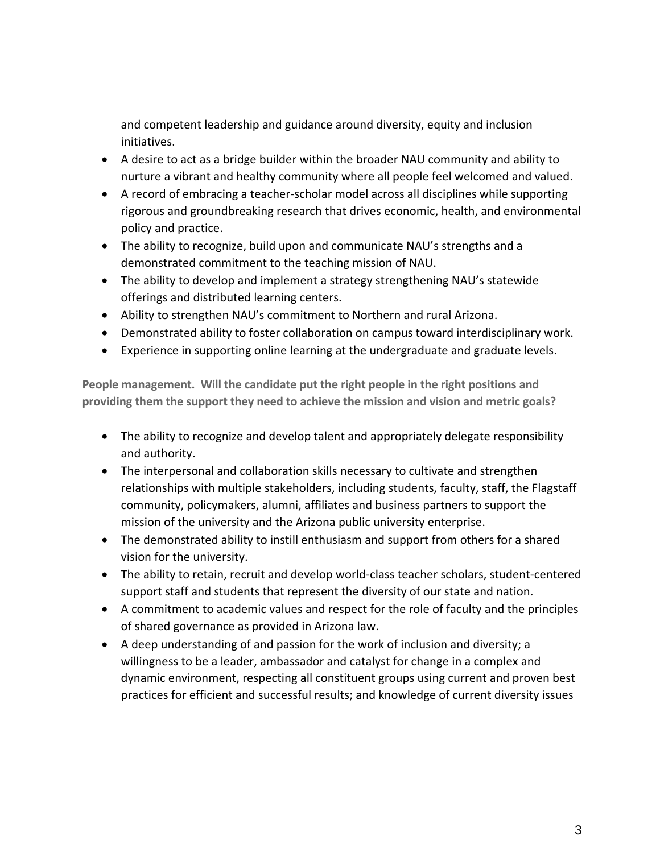and competent leadership and guidance around diversity, equity and inclusion initiatives.

- A desire to act as a bridge builder within the broader NAU community and ability to nurture a vibrant and healthy community where all people feel welcomed and valued.
- A record of embracing a teacher-scholar model across all disciplines while supporting rigorous and groundbreaking research that drives economic, health, and environmental policy and practice.
- The ability to recognize, build upon and communicate NAU's strengths and a demonstrated commitment to the teaching mission of NAU.
- The ability to develop and implement a strategy strengthening NAU's statewide offerings and distributed learning centers.
- Ability to strengthen NAU's commitment to Northern and rural Arizona.
- Demonstrated ability to foster collaboration on campus toward interdisciplinary work.
- Experience in supporting online learning at the undergraduate and graduate levels.

**People management. Will the candidate put the right people in the right positions and providing them the support they need to achieve the mission and vision and metric goals?**

- The ability to recognize and develop talent and appropriately delegate responsibility and authority.
- The interpersonal and collaboration skills necessary to cultivate and strengthen relationships with multiple stakeholders, including students, faculty, staff, the Flagstaff community, policymakers, alumni, affiliates and business partners to support the mission of the university and the Arizona public university enterprise.
- The demonstrated ability to instill enthusiasm and support from others for a shared vision for the university.
- The ability to retain, recruit and develop world-class teacher scholars, student-centered support staff and students that represent the diversity of our state and nation.
- A commitment to academic values and respect for the role of faculty and the principles of shared governance as provided in Arizona law.
- A deep understanding of and passion for the work of inclusion and diversity; a willingness to be a leader, ambassador and catalyst for change in a complex and dynamic environment, respecting all constituent groups using current and proven best practices for efficient and successful results; and knowledge of current diversity issues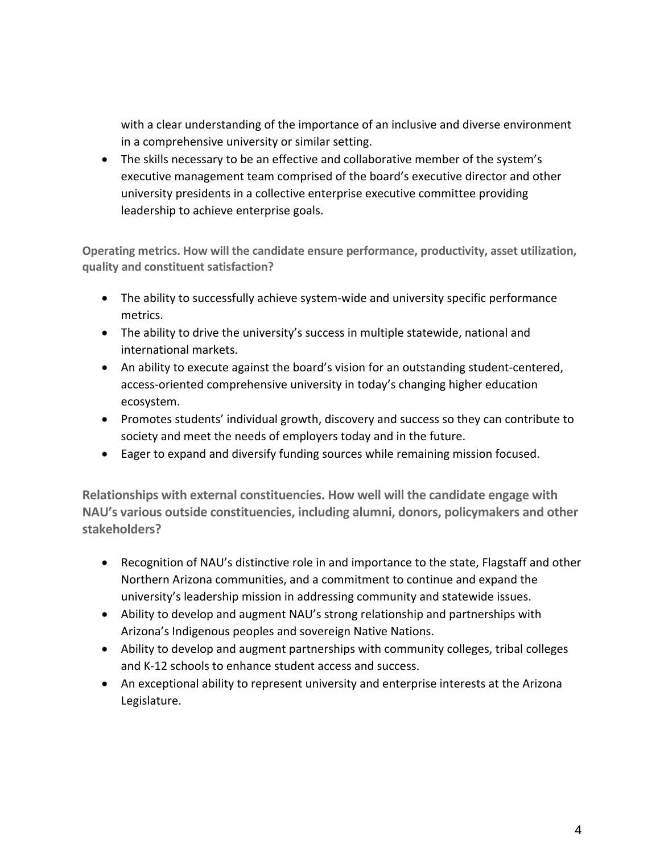with a clear understanding of the importance of an inclusive and diverse environment in a comprehensive university or similar setting.

• The skills necessary to be an effective and collaborative member of the system's executive management team comprised of the board's executive director and other university presidents in a collective enterprise executive committee providing leadership to achieve enterprise goals.

**Operating metrics. How will the candidate ensure performance, productivity, asset utilization, quality and constituent satisfaction?**

- The ability to successfully achieve system-wide and university specific performance metrics.
- The ability to drive the university's success in multiple statewide, national and international markets.
- An ability to execute against the board's vision for an outstanding student-centered, access-oriented comprehensive university in today's changing higher education ecosystem.
- Promotes students' individual growth, discovery and success so they can contribute to society and meet the needs of employers today and in the future.
- Eager to expand and diversify funding sources while remaining mission focused.

**Relationships with external constituencies. How well will the candidate engage with NAU's various outside constituencies, including alumni, donors, policymakers and other stakeholders?**

- Recognition of NAU's distinctive role in and importance to the state, Flagstaff and other Northern Arizona communities, and a commitment to continue and expand the university's leadership mission in addressing community and statewide issues.
- Ability to develop and augment NAU's strong relationship and partnerships with Arizona's Indigenous peoples and sovereign Native Nations.
- Ability to develop and augment partnerships with community colleges, tribal colleges and K-12 schools to enhance student access and success.
- An exceptional ability to represent university and enterprise interests at the Arizona Legislature.